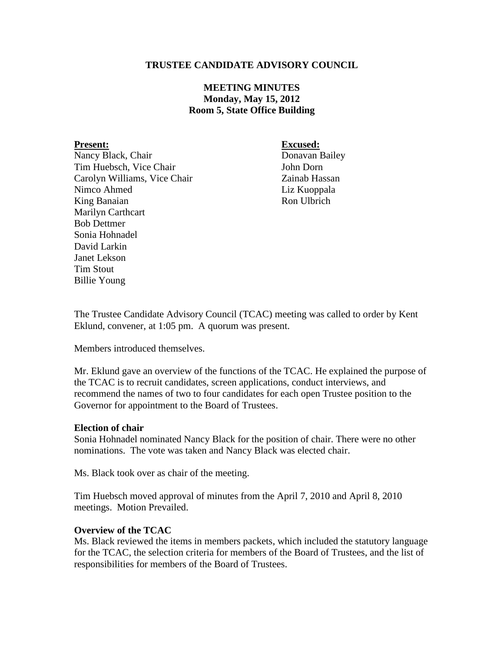## **TRUSTEE CANDIDATE ADVISORY COUNCIL**

# **MEETING MINUTES Monday, May 15, 2012 Room 5, State Office Building**

Nancy Black, Chair Donavan Bailey Tim Huebsch, Vice Chair John Dorn Carolyn Williams, Vice Chair Zainab Hassan Nimco Ahmed Liz Kuoppala King Banaian Ron Ulbrich Marilyn Carthcart Bob Dettmer Sonia Hohnadel David Larkin Janet Lekson Tim Stout Billie Young

**Present: Excused:**

The Trustee Candidate Advisory Council (TCAC) meeting was called to order by Kent Eklund, convener, at 1:05 pm. A quorum was present.

Members introduced themselves.

Mr. Eklund gave an overview of the functions of the TCAC. He explained the purpose of the TCAC is to recruit candidates, screen applications, conduct interviews, and recommend the names of two to four candidates for each open Trustee position to the Governor for appointment to the Board of Trustees.

### **Election of chair**

Sonia Hohnadel nominated Nancy Black for the position of chair. There were no other nominations. The vote was taken and Nancy Black was elected chair.

Ms. Black took over as chair of the meeting.

Tim Huebsch moved approval of minutes from the April 7, 2010 and April 8, 2010 meetings. Motion Prevailed.

### **Overview of the TCAC**

Ms. Black reviewed the items in members packets, which included the statutory language for the TCAC, the selection criteria for members of the Board of Trustees, and the list of responsibilities for members of the Board of Trustees.